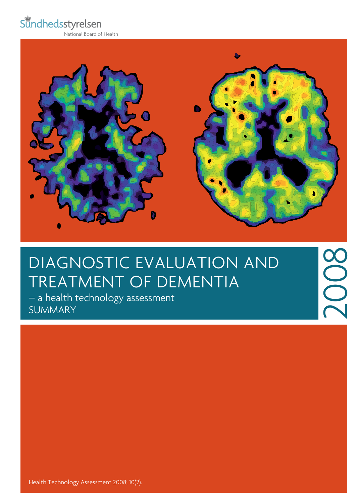Sundhedsstyrelsen

National Board of Health



2008

## DIAGNOSTIC EVALUATION AND treatment of dementia

– a health technology assessment **SUMMARY** 

Health Technology Assessment 2008; 10(2).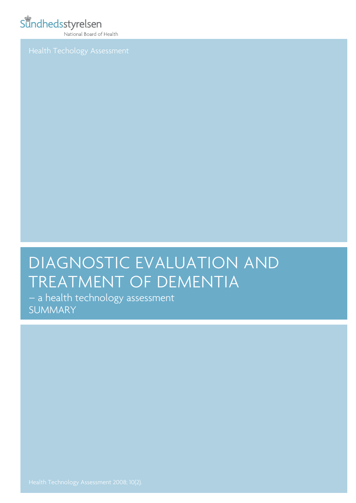### Sundhedsstyrelsen

National Board of Health

# DIAGNOSTIC EVALUATION AND treatment of dementia

– a health technology assessment **SUMMARY**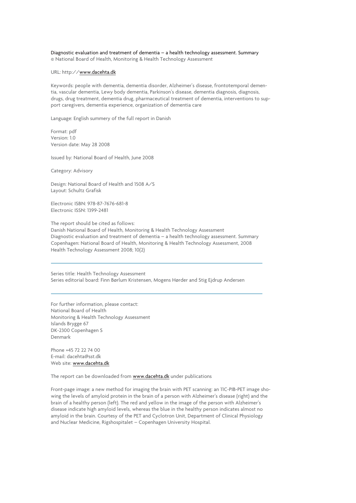#### Diagnostic evaluation and treatment of dementia – a health technology assessment. Summary © National Board of Health, Monitoring & Health Technology Assessment

#### URL: http://www.dacehta.dk

Keywords: people with dementia, dementia disorder, Alzheimer's disease, frontotemporal dementia, vascular dementia, Lewy body dementia, Parkinson's disease, dementia diagnosis, diagnosis, drugs, drug treatment, dementia drug, pharmaceutical treatment of dementia, interventions to support caregivers, dementia experience, organization of dementia care

Language: English summery of the full report in Danish

Format: pdf Version: 1.0 Version date: May 28 2008

Issued by: National Board of Health, June 2008

Category: Advisory

Design: National Board of Health and 1508 A/S Layout: Schultz Grafisk

Electronic ISBN: 978-87-7676-681-8 Electronic ISSN: 1399-2481

The report should be cited as follows: Danish National Board of Health, Monitoring & Health Technology Assessment Diagnostic evaluation and treatment of dementia – a health technology assessment. Summary Copenhagen: National Board of Health, Monitoring & Health Technology Assessment, 2008 Health Technology Assessment 2008; 10(2)

Series title: Health Technology Assessment Series editorial board: Finn Børlum Kristensen, Mogens Hørder and Stig Ejdrup Andersen

For further information, please contact: National Board of Health Monitoring & Health Technology Assessment Islands Brygge 67 DK-2300 Copenhagen S Denmark

Phone +45 72 22 74 00 E-mail: dacehta@sst.dk Web site: www.dacehta.dk

The report can be downloaded from www.dacehta.dk under publications

Front-page image: a new method for imaging the brain with PET scanning: an 11C-PIB-PET image showing the levels of amyloid protein in the brain of a person with Alzheimer's disease (right) and the brain of a healthy person (left). The red and yellow in the image of the person with Alzheimer's disease indicate high amyloid levels, whereas the blue in the healthy person indicates almost no amyloid in the brain. Courtesy of the PET and Cyclotron Unit, Department of Clinical Physiology and Nuclear Medicine, Rigshospitalet – Copenhagen University Hospital.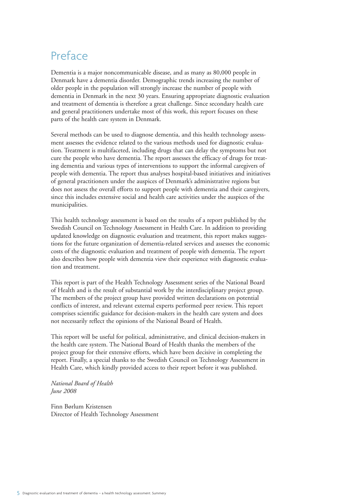### Preface

Dementia is a major noncommunicable disease, and as many as 80,000 people in Denmark have a dementia disorder. Demographic trends increasing the number of older people in the population will strongly increase the number of people with dementia in Denmark in the next 30 years. Ensuring appropriate diagnostic evaluation and treatment of dementia is therefore a great challenge. Since secondary health care and general practitioners undertake most of this work, this report focuses on these parts of the health care system in Denmark.

Several methods can be used to diagnose dementia, and this health technology assessment assesses the evidence related to the various methods used for diagnostic evaluation. Treatment is multifaceted, including drugs that can delay the symptoms but not cure the people who have dementia. The report assesses the efficacy of drugs for treating dementia and various types of interventions to support the informal caregivers of people with dementia. The report thus analyses hospital-based initiatives and initiatives of general practitioners under the auspices of Denmark's administrative regions but does not assess the overall efforts to support people with dementia and their caregivers, since this includes extensive social and health care activities under the auspices of the municipalities.

This health technology assessment is based on the results of a report published by the Swedish Council on Technology Assessment in Health Care. In addition to providing updated knowledge on diagnostic evaluation and treatment, this report makes suggestions for the future organization of dementia-related services and assesses the economic costs of the diagnostic evaluation and treatment of people with dementia. The report also describes how people with dementia view their experience with diagnostic evaluation and treatment.

This report is part of the Health Technology Assessment series of the National Board of Health and is the result of substantial work by the interdisciplinary project group. The members of the project group have provided written declarations on potential conflicts of interest, and relevant external experts performed peer review. This report comprises scientific guidance for decision-makers in the health care system and does not necessarily reflect the opinions of the National Board of Health.

This report will be useful for political, administrative, and clinical decision-makers in the health care system. The National Board of Health thanks the members of the project group for their extensive efforts, which have been decisive in completing the report. Finally, a special thanks to the Swedish Council on Technology Assessment in Health Care, which kindly provided access to their report before it was published.

#### *National Board of Health June 2008*

Finn Børlum Kristensen Director of Health Technology Assessment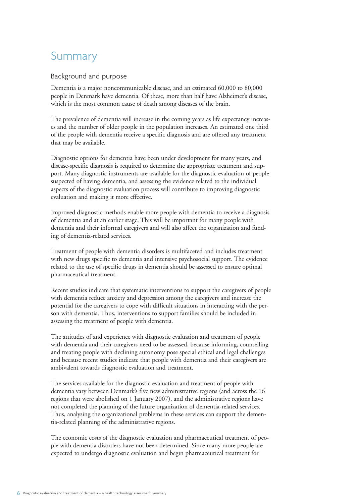### Summary

#### Background and purpose

Dementia is a major noncommunicable disease, and an estimated 60,000 to 80,000 people in Denmark have dementia. Of these, more than half have Alzheimer's disease, which is the most common cause of death among diseases of the brain.

The prevalence of dementia will increase in the coming years as life expectancy increases and the number of older people in the population increases. An estimated one third of the people with dementia receive a specific diagnosis and are offered any treatment that may be available.

Diagnostic options for dementia have been under development for many years, and disease-specific diagnosis is required to determine the appropriate treatment and support. Many diagnostic instruments are available for the diagnostic evaluation of people suspected of having dementia, and assessing the evidence related to the individual aspects of the diagnostic evaluation process will contribute to improving diagnostic evaluation and making it more effective.

Improved diagnostic methods enable more people with dementia to receive a diagnosis of dementia and at an earlier stage. This will be important for many people with dementia and their informal caregivers and will also affect the organization and funding of dementia-related services.

Treatment of people with dementia disorders is multifaceted and includes treatment with new drugs specific to dementia and intensive psychosocial support. The evidence related to the use of specific drugs in dementia should be assessed to ensure optimal pharmaceutical treatment.

Recent studies indicate that systematic interventions to support the caregivers of people with dementia reduce anxiety and depression among the caregivers and increase the potential for the caregivers to cope with difficult situations in interacting with the person with dementia. Thus, interventions to support families should be included in assessing the treatment of people with dementia.

The attitudes of and experience with diagnostic evaluation and treatment of people with dementia and their caregivers need to be assessed, because informing, counselling and treating people with declining autonomy pose special ethical and legal challenges and because recent studies indicate that people with dementia and their caregivers are ambivalent towards diagnostic evaluation and treatment.

The services available for the diagnostic evaluation and treatment of people with dementia vary between Denmark's five new administrative regions (and across the 16 regions that were abolished on 1 January 2007), and the administrative regions have not completed the planning of the future organization of dementia-related services. Thus, analysing the organizational problems in these services can support the dementia-related planning of the administrative regions.

The economic costs of the diagnostic evaluation and pharmaceutical treatment of people with dementia disorders have not been determined. Since many more people are expected to undergo diagnostic evaluation and begin pharmaceutical treatment for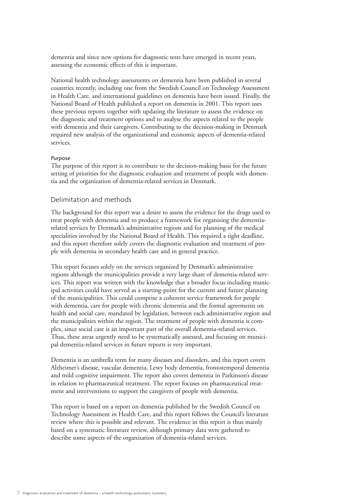dementia and since new options for diagnostic tests have emerged in recent years, assessing the economic effects of this is important.

National health technology assessments on dementia have been published in several countries recently, including one from the Swedish Council on Technology Assessment in Health Care, and international guidelines on dementia have been issued. Finally, the National Board of Health published a report on dementia in 2001. This report uses these previous reports together with updating the literature to assess the evidence on the diagnostic and treatment options and to analyse the aspects related to the people with dementia and their caregivers. Contributing to the decision-making in Denmark required new analysis of the organizational and economic aspects of dementia-related services.

#### *Purpose*

The purpose of this report is to contribute to the decision-making basis for the future setting of priorities for the diagnostic evaluation and treatment of people with dementia and the organization of dementia-related services in Denmark.

#### Delimitation and methods

The background for this report was a desire to assess the evidence for the drugs used to treat people with dementia and to produce a framework for organizing the dementiarelated services by Denmark's administrative regions and for planning of the medical specialities involved by the National Board of Health. This required a tight deadline, and this report therefore solely covers the diagnostic evaluation and treatment of people with dementia in secondary health care and in general practice.

This report focuses solely on the services organized by Denmark's administrative regions although the municipalities provide a very large share of dementia-related services. This report was written with the knowledge that a broader focus including municipal activities could have served as a starting-point for the current and future planning of the municipalities. This could comprise a coherent service framework for people with dementia, care for people with chronic dementia and the formal agreements on health and social care, mandated by legislation, between each administrative region and the municipalities within the region. The treatment of people with dementia is complex, since social care is an important part of the overall dementia-related services. Thus, these areas urgently need to be systematically assessed, and focusing on municipal dementia-related services in future reports is very important.

Dementia is an umbrella term for many diseases and disorders, and this report covers Alzheimer's disease, vascular dementia, Lewy body dementia, frontotemporal dementia and mild cognitive impairment. The report also covers dementia in Parkinson's disease in relation to pharmaceutical treatment. The report focuses on pharmaceutical treatment and interventions to support the caregivers of people with dementia.

This report is based on a report on dementia published by the Swedish Council on Technology Assessment in Health Care, and this report follows the Council's literature review where this is possible and relevant. The evidence in this report is thus mainly based on a systematic literature review, although primary data were gathered to describe some aspects of the organization of dementia-related services.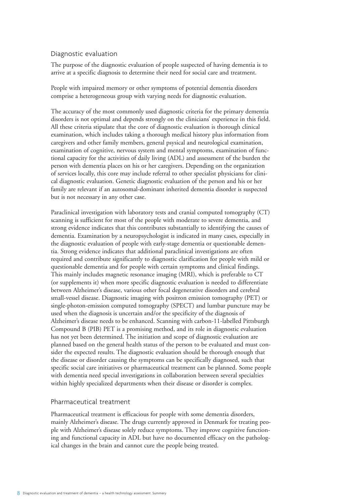#### Diagnostic evaluation

The purpose of the diagnostic evaluation of people suspected of having dementia is to arrive at a specific diagnosis to determine their need for social care and treatment.

People with impaired memory or other symptoms of potential dementia disorders comprise a heterogeneous group with varying needs for diagnostic evaluation.

The accuracy of the most commonly used diagnostic criteria for the primary dementia disorders is not optimal and depends strongly on the clinicians' experience in this field. All these criteria stipulate that the core of diagnostic evaluation is thorough clinical examination, which includes taking a thorough medical history plus information from caregivers and other family members, general psysical and neurological examination, examination of cognitive, nervous system and mental symptoms, examination of functional capacity for the activities of daily living (ADL) and assessment of the burden the person with dementia places on his or her caregivers. Depending on the organization of services locally, this core may include referral to other specialist physicians for clinical diagnostic evaluation. Genetic diagnostic evaluation of the person and his or her family are relevant if an autosomal-dominant inherited dementia disorder is suspected but is not necessary in any other case.

Paraclinical investigation with laboratory tests and cranial computed tomography (CT) scanning is sufficient for most of the people with moderate to severe dementia, and strong evidence indicates that this contributes substantially to identifying the causes of dementia. Examination by a neuropsychologist is indicated in many cases, especially in the diagnostic evaluation of people with early-stage dementia or questionable dementia. Strong evidence indicates that additional paraclinical investigations are often required and contribute significantly to diagnostic clarification for people with mild or questionable dementia and for people with certain symptoms and clinical findings. This mainly includes magnetic resonance imaging (MRI), which is preferable to CT (or supplements it) when more specific diagnostic evaluation is needed to differentiate between Alzheimer's disease, various other focal degenerative disorders and cerebral small-vessel disease. Diagnostic imaging with positron emission tomography (PET) or single-photon-emission computed tomography (SPECT) and lumbar puncture may be used when the diagnosis is uncertain and/or the specificity of the diagnosis of Alzheimer's disease needs to be enhanced. Scanning with carbon-11-labelled Pittsburgh Compound B (PIB) PET is a promising method, and its role in diagnostic evaluation has not yet been determined. The initiation and scope of diagnostic evaluation are planned based on the general health status of the person to be evaluated and must consider the expected results. The diagnostic evaluation should be thorough enough that the disease or disorder causing the symptoms can be specifically diagnosed, such that specific social care initiatives or pharmaceutical treatment can be planned. Some people with dementia need special investigations in collaboration between several specialties within highly specialized departments when their disease or disorder is complex.

#### Pharmaceutical treatment

Pharmaceutical treatment is efficacious for people with some dementia disorders, mainly Alzheimer's disease. The drugs currently approved in Denmark for treating people with Alzheimer's disease solely reduce symptoms. They improve cognitive functioning and functional capacity in ADL but have no documented efficacy on the pathological changes in the brain and cannot cure the people being treated.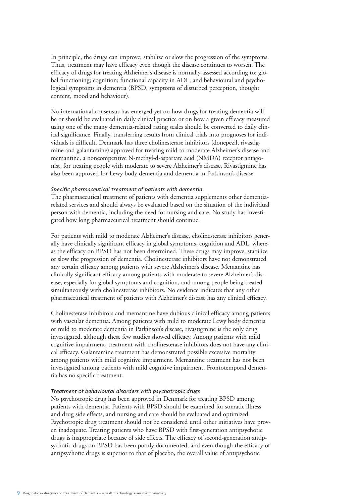In principle, the drugs can improve, stabilize or slow the progression of the symptoms. Thus, treatment may have efficacy even though the disease continues to worsen. The efficacy of drugs for treating Alzheimer's disease is normally assessed according to: global functioning; cognition; functional capacity in ADL; and behavioural and psychological symptoms in dementia (BPSD, symptoms of disturbed perception, thought content, mood and behaviour).

No international consensus has emerged yet on how drugs for treating dementia will be or should be evaluated in daily clinical practice or on how a given efficacy measured using one of the many dementia-related rating scales should be converted to daily clinical significance. Finally, transferring results from clinical trials into prognoses for individuals is difficult. Denmark has three cholinesterase inhibitors (donepezil, rivastigmine and galantamine) approved for treating mild to moderate Alzheimer's disease and memantine, a noncompetitive N-methyl-d-aspartate acid (NMDA) receptor antagonist, for treating people with moderate to severe Alzheimer's disease. Rivastigmine has also been approved for Lewy body dementia and dementia in Parkinson's disease.

#### *Specific pharmaceutical treatment of patients with dementia*

The pharmaceutical treatment of patients with dementia supplements other dementiarelated services and should always be evaluated based on the situation of the individual person with dementia, including the need for nursing and care. No study has investigated how long pharmaceutical treatment should continue.

For patients with mild to moderate Alzheimer's disease, cholinesterase inhibitors generally have clinically significant efficacy in global symptoms, cognition and ADL, whereas the efficacy on BPSD has not been determined. These drugs may improve, stabilize or slow the progression of dementia. Cholinesterase inhibitors have not demonstrated any certain efficacy among patients with severe Alzheimer's disease. Memantine has clinically significant efficacy among patients with moderate to severe Alzheimer's disease, especially for global symptoms and cognition, and among people being treated simultaneously with cholinesterase inhibitors. No evidence indicates that any other pharmaceutical treatment of patients with Alzheimer's disease has any clinical efficacy.

Cholinesterase inhibitors and memantine have dubious clinical efficacy among patients with vascular dementia. Among patients with mild to moderate Lewy body dementia or mild to moderate dementia in Parkinson's disease, rivastigmine is the only drug investigated, although these few studies showed efficacy. Among patients with mild cognitive impairment, treatment with cholinesterase inhibitors does not have any clinical efficacy. Galantamine treatment has demonstrated possible excessive mortality among patients with mild cognitive impairment. Memantine treatment has not been investigated among patients with mild cognitive impairment. Frontotemporal dementia has no specific treatment.

#### *Treatment of behavioural disorders with psychotropic drugs*

No psychotropic drug has been approved in Denmark for treating BPSD among patients with dementia. Patients with BPSD should be examined for somatic illness and drug side effects, and nursing and care should be evaluated and optimized. Psychotropic drug treatment should not be considered until other initiatives have proven inadequate. Treating patients who have BPSD with first-generation antipsychotic drugs is inappropriate because of side effects. The efficacy of second-generation antipsychotic drugs on BPSD has been poorly documented, and even though the efficacy of antipsychotic drugs is superior to that of placebo, the overall value of antipsychotic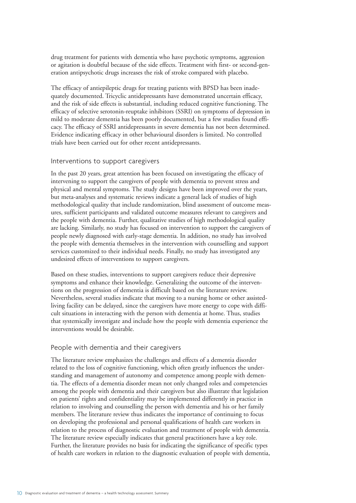drug treatment for patients with dementia who have psychotic symptoms, aggression or agitation is doubtful because of the side effects. Treatment with first- or second-generation antipsychotic drugs increases the risk of stroke compared with placebo.

The efficacy of antiepileptic drugs for treating patients with BPSD has been inadequately documented. Tricyclic antidepressants have demonstrated uncertain efficacy, and the risk of side effects is substantial, including reduced cognitive functioning. The efficacy of selective serotonin-reuptake inhibitors (SSRI) on symptoms of depression in mild to moderate dementia has been poorly documented, but a few studies found efficacy. The efficacy of SSRI antidepressants in severe dementia has not been determined. Evidence indicating efficacy in other behavioural disorders is limited. No controlled trials have been carried out for other recent antidepressants.

#### Interventions to support caregivers

In the past 20 years, great attention has been focused on investigating the efficacy of intervening to support the caregivers of people with dementia to prevent stress and physical and mental symptoms. The study designs have been improved over the years, but meta-analyses and systematic reviews indicate a general lack of studies of high methodological quality that include randomization, blind assessment of outcome measures, sufficient participants and validated outcome measures relevant to caregivers and the people with dementia. Further, qualitative studies of high methodological quality are lacking. Similarly, no study has focused on intervention to support the caregivers of people newly diagnosed with early-stage dementia. In addition, no study has involved the people with dementia themselves in the intervention with counselling and support services customized to their individual needs. Finally, no study has investigated any undesired effects of interventions to support caregivers.

Based on these studies, interventions to support caregivers reduce their depressive symptoms and enhance their knowledge. Generalizing the outcome of the interventions on the progression of dementia is difficult based on the literature review. Nevertheless, several studies indicate that moving to a nursing home or other assistedliving facility can be delayed, since the caregivers have more energy to cope with difficult situations in interacting with the person with dementia at home. Thus, studies that systemically investigate and include how the people with dementia experience the interventions would be desirable.

#### People with dementia and their caregivers

The literature review emphasizes the challenges and effects of a dementia disorder related to the loss of cognitive functioning, which often greatly influences the understanding and management of autonomy and competence among people with dementia. The effects of a dementia disorder mean not only changed roles and competencies among the people with dementia and their caregivers but also illustrate that legislation on patients' rights and confidentiality may be implemented differently in practice in relation to involving and counselling the person with dementia and his or her family members. The literature review thus indicates the importance of continuing to focus on developing the professional and personal qualifications of health care workers in relation to the process of diagnostic evaluation and treatment of people with dementia. The literature review especially indicates that general practitioners have a key role. Further, the literature provides no basis for indicating the significance of specific types of health care workers in relation to the diagnostic evaluation of people with dementia,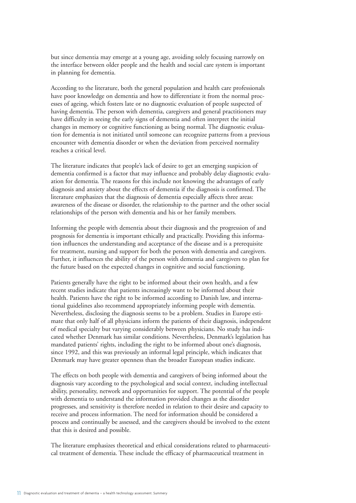but since dementia may emerge at a young age, avoiding solely focusing narrowly on the interface between older people and the health and social care system is important in planning for dementia.

According to the literature, both the general population and health care professionals have poor knowledge on dementia and how to differentiate it from the normal processes of ageing, which fosters late or no diagnostic evaluation of people suspected of having dementia. The person with dementia, caregivers and general practitioners may have difficulty in seeing the early signs of dementia and often interpret the initial changes in memory or cognitive functioning as being normal. The diagnostic evaluation for dementia is not initiated until someone can recognize patterns from a previous encounter with dementia disorder or when the deviation from perceived normality reaches a critical level.

The literature indicates that people's lack of desire to get an emerging suspicion of dementia confirmed is a factor that may influence and probably delay diagnostic evaluation for dementia. The reasons for this include not knowing the advantages of early diagnosis and anxiety about the effects of dementia if the diagnosis is confirmed. The literature emphasizes that the diagnosis of dementia especially affects three areas: awareness of the disease or disorder, the relationship to the partner and the other social relationships of the person with dementia and his or her family members.

Informing the people with dementia about their diagnosis and the progression of and prognosis for dementia is important ethically and practically. Providing this information influences the understanding and acceptance of the disease and is a prerequisite for treatment, nursing and support for both the person with dementia and caregivers. Further, it influences the ability of the person with dementia and caregivers to plan for the future based on the expected changes in cognitive and social functioning.

Patients generally have the right to be informed about their own health, and a few recent studies indicate that patients increasingly want to be informed about their health. Patients have the right to be informed according to Danish law, and international guidelines also recommend appropriately informing people with dementia. Nevertheless, disclosing the diagnosis seems to be a problem. Studies in Europe estimate that only half of all physicians inform the patients of their diagnosis, independent of medical specialty but varying considerably between physicians. No study has indicated whether Denmark has similar conditions. Nevertheless, Denmark's legislation has mandated patients' rights, including the right to be informed about one's diagnosis, since 1992, and this was previously an informal legal principle, which indicates that Denmark may have greater openness than the broader European studies indicate.

The effects on both people with dementia and caregivers of being informed about the diagnosis vary according to the psychological and social context, including intellectual ability, personality, network and opportunities for support. The potential of the people with dementia to understand the information provided changes as the disorder progresses, and sensitivity is therefore needed in relation to their desire and capacity to receive and process information. The need for information should be considered a process and continually be assessed, and the caregivers should be involved to the extent that this is desired and possible.

The literature emphasizes theoretical and ethical considerations related to pharmaceutical treatment of dementia. These include the efficacy of pharmaceutical treatment in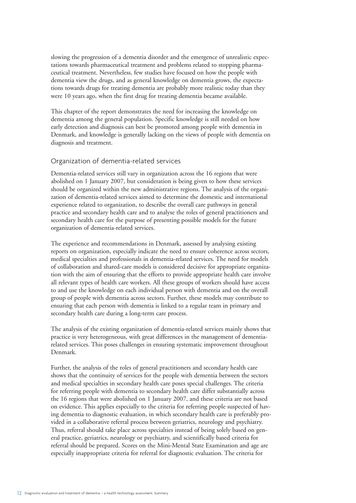slowing the progression of a dementia disorder and the emergence of unrealistic expectations towards pharmaceutical treatment and problems related to stopping pharmaceutical treatment. Nevertheless, few studies have focused on how the people with dementia view the drugs, and as general knowledge on dementia grows, the expectations towards drugs for treating dementia are probably more realistic today than they were 10 years ago, when the first drug for treating dementia became available.

This chapter of the report demonstrates the need for increasing the knowledge on dementia among the general population. Specific knowledge is still needed on how early detection and diagnosis can best be promoted among people with dementia in Denmark, and knowledge is generally lacking on the views of people with dementia on diagnosis and treatment.

#### Organization of dementia-related services

Dementia-related services still vary in organization across the 16 regions that were abolished on 1 January 2007, but consideration is being given to how these services should be organized within the new administrative regions. The analysis of the organization of dementia-related services aimed to determine the domestic and international experience related to organization, to describe the overall care pathways in general practice and secondary health care and to analyse the roles of general practitioners and secondary health care for the purpose of presenting possible models for the future organization of dementia-related services.

The experience and recommendations in Denmark, assessed by analysing existing reports on organization, especially indicate the need to ensure coherence across sectors, medical specialties and professionals in dementia-related services. The need for models of collaboration and shared-care models is considered decisive for appropriate organization with the aim of ensuring that the efforts to provide appropriate health care involve all relevant types of health care workers. All these groups of workers should have access to and use the knowledge on each individual person with dementia and on the overall group of people with dementia across sectors. Further, these models may contribute to ensuring that each person with dementia is linked to a regular team in primary and secondary health care during a long-term care process.

The analysis of the existing organization of dementia-related services mainly shows that practice is very heterogeneous, with great differences in the management of dementiarelated services. This poses challenges in ensuring systematic improvement throughout Denmark.

Further, the analysis of the roles of general practitioners and secondary health care shows that the continuity of services for the people with dementia between the sectors and medical specialties in secondary health care poses special challenges. The criteria for referring people with dementia to secondary health care differ substantially across the 16 regions that were abolished on 1 January 2007, and these criteria are not based on evidence. This applies especially to the criteria for referring people suspected of having dementia to diagnostic evaluation, in which secondary health care is preferably provided in a collaborative referral process between geriatrics, neurology and psychiatry. Thus, referral should take place across specialties instead of being solely based on general practice, geriatrics, neurology or psychiatry, and scientifically based criteria for referral should be prepared. Scores on the Mini-Mental State Examination and age are especially inappropriate criteria for referral for diagnostic evaluation. The criteria for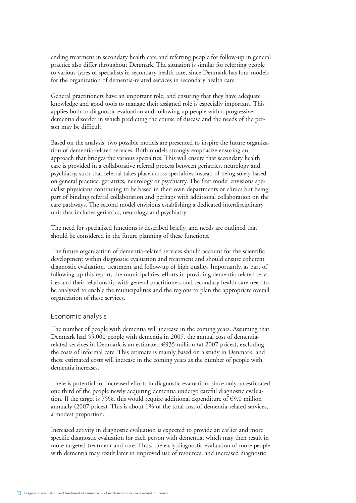ending treatment in secondary health care and referring people for follow-up in general practice also differ throughout Denmark. The situation is similar for referring people to various types of specialists in secondary health care, since Denmark has four models for the organization of dementia-related services in secondary health care.

General practitioners have an important role, and ensuring that they have adequate knowledge and good tools to manage their assigned role is especially important. This applies both to diagnostic evaluation and following up people with a progressive dementia disorder in which predicting the course of disease and the needs of the person may be difficult.

Based on the analysis, two possible models are presented to inspire the future organization of dementia-related services. Both models strongly emphasize ensuring an approach that bridges the various specialties. This will ensure that secondary health care is provided in a collaborative referral process between geriatrics, neurology and psychiatry, such that referral takes place across specialties instead of being solely based on general practice, geriatrics, neurology or psychiatry. The first model envisions specialist physicians continuing to be based in their own departments or clinics but being part of binding referral collaboration and perhaps with additional collaboration on the care pathways. The second model envisions establishing a dedicated interdisciplinary unit that includes geriatrics, neurology and psychiatry.

The need for specialized functions is described briefly, and needs are outlined that should be considered in the future planning of these functions.

The future organization of dementia-related services should account for the scientific development within diagnostic evaluation and treatment and should ensure coherent diagnostic evaluation, treatment and follow-up of high quality. Importantly, as part of following up this report, the municipalities' efforts in providing dementia-related services and their relationship with general practitioners and secondary health care need to be analysed to enable the municipalities and the regions to plan the appropriate overall organization of these services.

#### Economic analysis

The number of people with dementia will increase in the coming years. Assuming that Denmark had 55,000 people with dementia in 2007, the annual cost of dementiarelated services in Denmark is an estimated €935 million (at 2007 prices), excluding the costs of informal care. This estimate is mainly based on a study in Denmark, and these estimated costs will increase in the coming years as the number of people with dementia increases.

There is potential for increased efforts in diagnostic evaluation, since only an estimated one third of the people newly acquiring dementia undergo careful diagnostic evaluation. If the target is 75%, this would require additional expenditure of  $\epsilon$ 9.0 million annually (2007 prices). This is about 1% of the total cost of dementia-related services, a modest proportion.

Increased activity in diagnostic evaluation is expected to provide an earlier and more specific diagnostic evaluation for each person with dementia, which may then result in more targeted treatment and care. Thus, the early diagnostic evaluation of more people with dementia may result later in improved use of resources, and increased diagnostic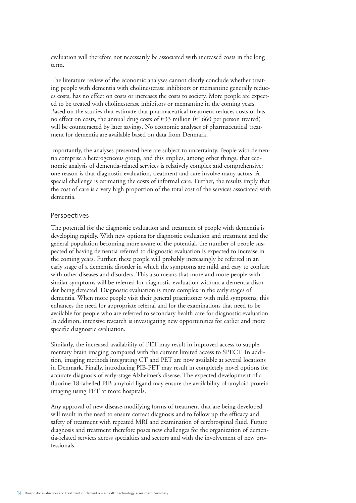evaluation will therefore not necessarily be associated with increased costs in the long term.

The literature review of the economic analyses cannot clearly conclude whether treating people with dementia with cholinesterase inhibitors or memantine generally reduces costs, has no effect on costs or increases the costs to society. More people are expected to be treated with cholinesterase inhibitors or memantine in the coming years. Based on the studies that estimate that pharmaceutical treatment reduces costs or has no effect on costs, the annual drug costs of  $\epsilon$ 33 million ( $\epsilon$ 1660 per person treated) will be counteracted by later savings. No economic analyses of pharmaceutical treatment for dementia are available based on data from Denmark.

Importantly, the analyses presented here are subject to uncertainty. People with dementia comprise a heterogeneous group, and this implies, among other things, that economic analysis of dementia-related services is relatively complex and comprehensive: one reason is that diagnostic evaluation, treatment and care involve many actors. A special challenge is estimating the costs of informal care. Further, the results imply that the cost of care is a very high proportion of the total cost of the services associated with dementia.

#### Perspectives

The potential for the diagnostic evaluation and treatment of people with dementia is developing rapidly. With new options for diagnostic evaluation and treatment and the general population becoming more aware of the potential, the number of people suspected of having dementia referred to diagnostic evaluation is expected to increase in the coming years. Further, these people will probably increasingly be referred in an early stage of a dementia disorder in which the symptoms are mild and easy to confuse with other diseases and disorders. This also means that more and more people with similar symptoms will be referred for diagnostic evaluation without a dementia disorder being detected. Diagnostic evaluation is more complex in the early stages of dementia. When more people visit their general practitioner with mild symptoms, this enhances the need for appropriate referral and for the examinations that need to be available for people who are referred to secondary health care for diagnostic evaluation. In addition, intensive research is investigating new opportunities for earlier and more specific diagnostic evaluation.

Similarly, the increased availability of PET may result in improved access to supplementary brain imaging compared with the current limited access to SPECT. In addition, imaging methods integrating CT and PET are now available at several locations in Denmark. Finally, introducing PIB-PET may result in completely novel options for accurate diagnosis of early-stage Alzheimer's disease. The expected development of a fluorine-18-labelled PIB amyloid ligand may ensure the availability of amyloid protein imaging using PET at more hospitals.

Any approval of new disease-modifying forms of treatment that are being developed will result in the need to ensure correct diagnosis and to follow up the efficacy and safety of treatment with repeated MRI and examination of cerebrospinal fluid. Future diagnosis and treatment therefore poses new challenges for the organization of dementia-related services across specialties and sectors and with the involvement of new professionals.